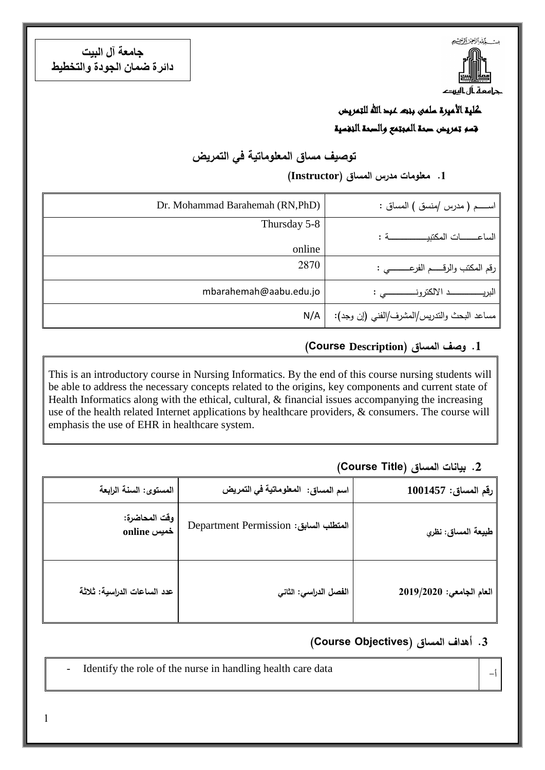

**جامعت آل البيج دائرة ضمان الجودة والخخطيط**

### كلية الأميرة سلمى بنت عبد الله للتمريض قسم تمريض صحة المجتمع والصحة النفسية

### **توصيف مساق المعموماتية في التمريض**

#### **.1 معمومات مدرس المساق )Instructor)**

| Dr. Mohammad Barahemah (RN, PhD) | اســــــم ( مدرس /منسق ) المساق :           |
|----------------------------------|---------------------------------------------|
| Thursday 5-8                     |                                             |
| online                           |                                             |
| 2870                             | رقم المكتب والرقـــــم الفرعــــــــــى :   |
| mbarahemah@aabu.edu.jo           |                                             |
| N/A                              | مساعد البحث والندريس/المشرف/الفني (إن وجد): |

#### **.1 وصف المساق )Description Course(**

This is an introductory course in Nursing Informatics. By the end of this course nursing students will be able to address the necessary concepts related to the origins, key components and current state of Health Informatics along with the ethical, cultural, & financial issues accompanying the increasing use of the health related Internet applications by healthcare providers, & consumers. The course will emphasis the use of EHR in healthcare system.

#### **.2 بيانات المساق )Title Course)**

| رقم المساق: 1001457      | اسم المساق: المعلوماتية في التمريض    | المستوى: السنة الرابعة       |
|--------------------------|---------------------------------------|------------------------------|
| طبيعة المساق: نظري       | المتطلب السابق: Department Permission | وقت المحاضرة:<br>online خمیس |
| العام الجامعى: 2019/2020 | الفصل الدراسي: الثاني                 | عدد الساعات الدراسية: ثلاثة  |

#### **.3 أهداف المساق )ِ Objectives Course)**

Identify the role of the nurse in handling health care data

أ-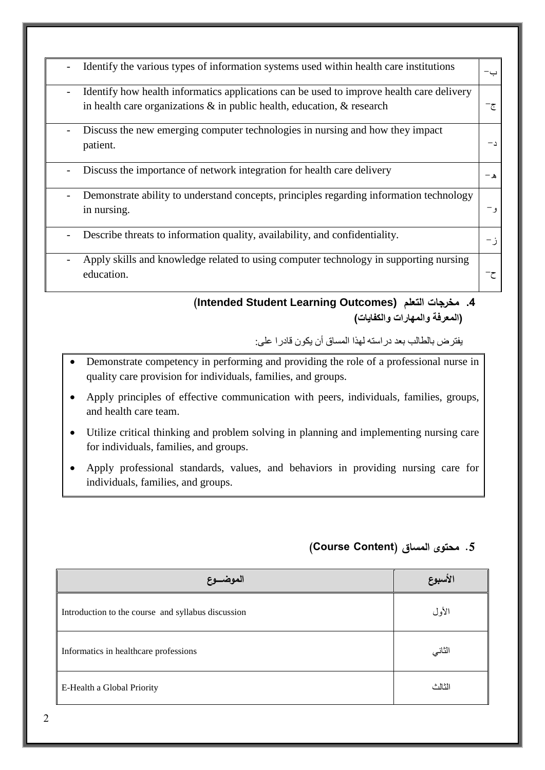| Identify the various types of information systems used within health care institutions<br>Identify how health informatics applications can be used to improve health care delivery<br>-<br>in health care organizations $\&$ in public health, education, $\&$ research<br>ج-<br>Discuss the new emerging computer technologies in nursing and how they impact<br>patient.<br>Discuss the importance of network integration for health care delivery<br>ه –<br>Demonstrate ability to understand concepts, principles regarding information technology<br>in nursing.<br>Describe threats to information quality, availability, and confidentiality.<br>- j<br>Apply skills and knowledge related to using computer technology in supporting nursing<br>education. |  |
|--------------------------------------------------------------------------------------------------------------------------------------------------------------------------------------------------------------------------------------------------------------------------------------------------------------------------------------------------------------------------------------------------------------------------------------------------------------------------------------------------------------------------------------------------------------------------------------------------------------------------------------------------------------------------------------------------------------------------------------------------------------------|--|
|                                                                                                                                                                                                                                                                                                                                                                                                                                                                                                                                                                                                                                                                                                                                                                    |  |
|                                                                                                                                                                                                                                                                                                                                                                                                                                                                                                                                                                                                                                                                                                                                                                    |  |
|                                                                                                                                                                                                                                                                                                                                                                                                                                                                                                                                                                                                                                                                                                                                                                    |  |
|                                                                                                                                                                                                                                                                                                                                                                                                                                                                                                                                                                                                                                                                                                                                                                    |  |
|                                                                                                                                                                                                                                                                                                                                                                                                                                                                                                                                                                                                                                                                                                                                                                    |  |
|                                                                                                                                                                                                                                                                                                                                                                                                                                                                                                                                                                                                                                                                                                                                                                    |  |
|                                                                                                                                                                                                                                                                                                                                                                                                                                                                                                                                                                                                                                                                                                                                                                    |  |

#### 4. مخرجات التعلم (Intended Student Learning Outcomes) (المعرفة والمهارات والكفايات)

يفترض بالطالب بعد دراسته لهذا المساق أن يكون قادرا على:

- Demonstrate competency in performing and providing the role of a professional nurse in quality care provision for individuals, families, and groups.
- Apply principles of effective communication with peers, individuals, families, groups, and health care team.
- Utilize critical thinking and problem solving in planning and implementing nursing care for individuals, families, and groups.
- Apply professional standards, values, and behaviors in providing nursing care for  $\bullet$ individuals, families, and groups.

### 5. محتوى المساق (Course Content)

| الموضسوع                                           | الأسبوع |
|----------------------------------------------------|---------|
| Introduction to the course and syllabus discussion | الأول   |
| Informatics in healthcare professions              | الثاني  |
| E-Health a Global Priority                         | الثالث  |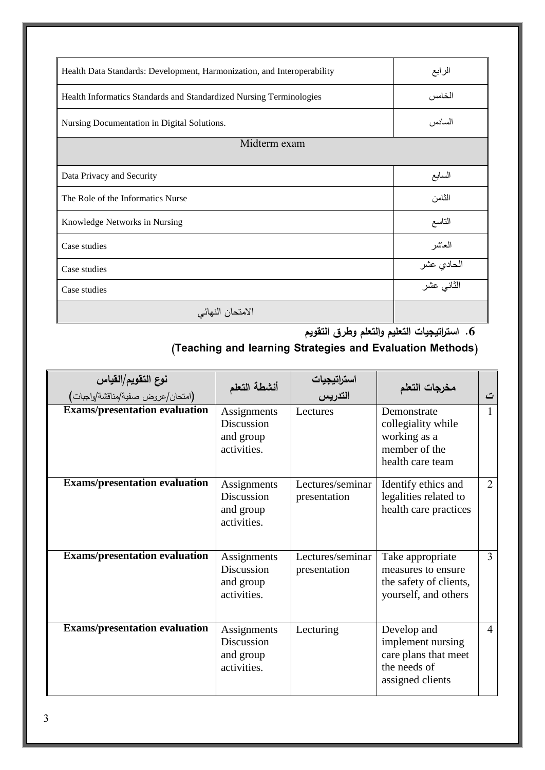| Health Data Standards: Development, Harmonization, and Interoperability | الرابع     |
|-------------------------------------------------------------------------|------------|
| Health Informatics Standards and Standardized Nursing Terminologies     | الخامس     |
| Nursing Documentation in Digital Solutions.                             | السادس     |
| Midterm exam                                                            |            |
|                                                                         |            |
| Data Privacy and Security                                               | السابع     |
| The Role of the Informatics Nurse                                       | الثامن     |
| Knowledge Networks in Nursing                                           | التاسع     |
| Case studies                                                            | العاشر     |
| Case studies                                                            | الحادي عشر |
| Case studies                                                            | الثاني عشر |
| الامتحان النهائي                                                        |            |

**.6 استراتيجيات التعميم والتعمم وطرق التقويم**

# **)Teaching and learning Strategies and Evaluation Methods(**

| <b>نوع التقويم/القياس</b><br>(امتحان/عروض صفية/مناقشة/واجبات) | أنشطة التعلم                                                 | استرات <b>یجیات</b><br>التدریس   | مخرجات التعلم                                                                                | ت              |
|---------------------------------------------------------------|--------------------------------------------------------------|----------------------------------|----------------------------------------------------------------------------------------------|----------------|
| <b>Exams/presentation evaluation</b>                          | Assignments<br>Discussion<br>and group<br>activities.        | Lectures                         | Demonstrate<br>collegiality while<br>working as a<br>member of the<br>health care team       | 1              |
| <b>Exams/presentation evaluation</b>                          | Assignments<br>Discussion<br>and group<br>activities.        | Lectures/seminar<br>presentation | Identify ethics and<br>legalities related to<br>health care practices                        | $\overline{2}$ |
| <b>Exams/presentation evaluation</b>                          | Assignments<br><b>Discussion</b><br>and group<br>activities. | Lectures/seminar<br>presentation | Take appropriate<br>measures to ensure.<br>the safety of clients,<br>yourself, and others    | 3              |
| <b>Exams/presentation evaluation</b>                          | Assignments<br><b>Discussion</b><br>and group<br>activities. | Lecturing                        | Develop and<br>implement nursing<br>care plans that meet<br>the needs of<br>assigned clients | $\overline{4}$ |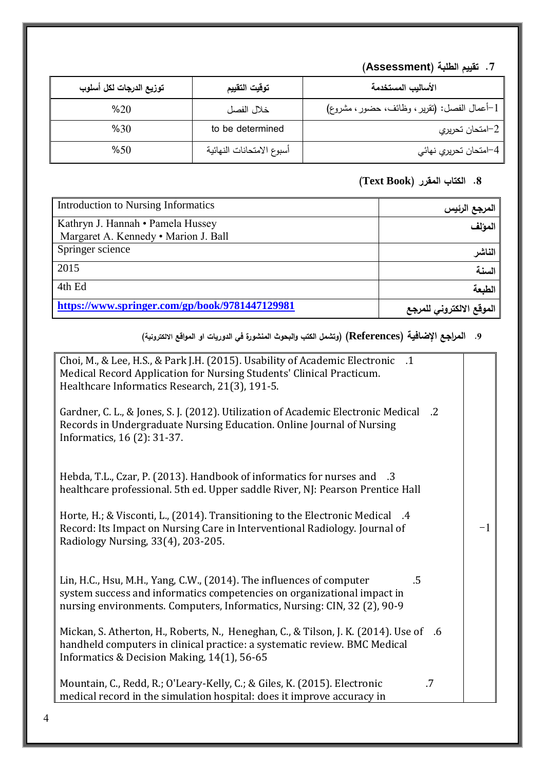## **.7 تقييم الطمبة )Assessment)**

| توزيع الدرجات لكل أسلوب | توقيت التقييم             | الأساليب المستخدمة                           |
|-------------------------|---------------------------|----------------------------------------------|
| %20                     | خلال الفصل                | 1–أعمال الفصل: (نقرير ، وظائف، حضور ، مشروع) |
| %30                     | to be determined          | 2–امتحان تحريري                              |
| %50                     | أسبوع الامتحانات النهائية | 4–امتحان تحريري نهائي                        |

## **.8 الكتاب المقرر )Book Text)**

| Introduction to Nursing Informatics            | المرجع الرئيس            |
|------------------------------------------------|--------------------------|
| Kathryn J. Hannah • Pamela Hussey              | المؤلف                   |
| Margaret A. Kennedy . Marion J. Ball           |                          |
| Springer science                               | الناشر                   |
| 2015                                           | السنة                    |
| 4th Ed                                         | الطبعة                   |
| https://www.springer.com/gp/book/9781447129981 | الموقع الالكتروني للمرجع |

#### **.2 المراجع اإلضافية )References( )وتشمل الكتب والبحوث المنشورة في الدوريات او المواقع االلكترونية(**

| Choi, M., & Lee, H.S., & Park J.H. (2015). Usability of Academic Electronic .1                  |    |
|-------------------------------------------------------------------------------------------------|----|
|                                                                                                 |    |
| Medical Record Application for Nursing Students' Clinical Practicum.                            |    |
| Healthcare Informatics Research, 21(3), 191-5.                                                  |    |
|                                                                                                 |    |
| Gardner, C. L., & Jones, S. J. (2012). Utilization of Academic Electronic Medical<br>$\cdot$ .2 |    |
|                                                                                                 |    |
| Records in Undergraduate Nursing Education. Online Journal of Nursing                           |    |
| Informatics, 16 (2): 31-37.                                                                     |    |
|                                                                                                 |    |
|                                                                                                 |    |
| Hebda, T.L., Czar, P. (2013). Handbook of informatics for nurses and .3                         |    |
| healthcare professional. 5th ed. Upper saddle River, NJ: Pearson Prentice Hall                  |    |
|                                                                                                 |    |
|                                                                                                 |    |
| Horte, H.; & Visconti, L., (2014). Transitioning to the Electronic Medical .4                   |    |
| Record: Its Impact on Nursing Care in Interventional Radiology. Journal of                      | -1 |
| Radiology Nursing, 33(4), 203-205.                                                              |    |
|                                                                                                 |    |
|                                                                                                 |    |
| $.5\,$                                                                                          |    |
| Lin, H.C., Hsu, M.H., Yang, C.W., (2014). The influences of computer                            |    |
| system success and informatics competencies on organizational impact in                         |    |
| nursing environments. Computers, Informatics, Nursing: CIN, 32 (2), 90-9                        |    |
|                                                                                                 |    |
| Mickan, S. Atherton, H., Roberts, N., Heneghan, C., & Tilson, J. K. (2014). Use of .6           |    |
| handheld computers in clinical practice: a systematic review. BMC Medical                       |    |
| Informatics & Decision Making, 14(1), 56-65                                                     |    |
|                                                                                                 |    |
|                                                                                                 |    |
| Mountain, C., Redd, R.; O'Leary-Kelly, C.; & Giles, K. (2015). Electronic<br>.7                 |    |
| medical record in the simulation hospital: does it improve accuracy in                          |    |
|                                                                                                 |    |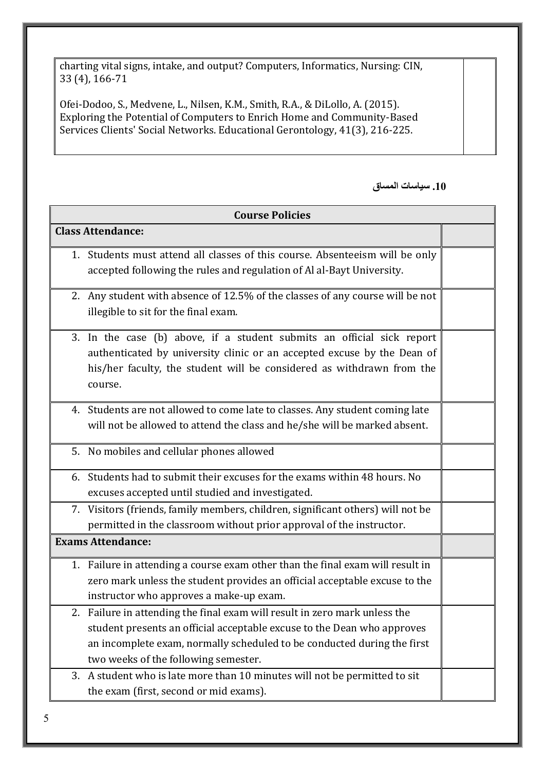charting vital signs, intake, and output? Computers, Informatics, Nursing: CIN, 33 (4), 166-71

Ofei-Dodoo, S., Medvene, L., Nilsen, K.M., Smith, R.A., & DiLollo, A. (2015). Exploring the Potential of Computers to Enrich Home and Community-Based Services Clients' Social Networks. Educational Gerontology, 41(3), 216-225.

#### **.12 سياساث المساق**

| <b>Course Policies</b> |                                                                                                                                                                                                                                                                       |  |
|------------------------|-----------------------------------------------------------------------------------------------------------------------------------------------------------------------------------------------------------------------------------------------------------------------|--|
|                        | <b>Class Attendance:</b>                                                                                                                                                                                                                                              |  |
|                        | 1. Students must attend all classes of this course. Absenteeism will be only<br>accepted following the rules and regulation of Al al-Bayt University.                                                                                                                 |  |
|                        | 2. Any student with absence of 12.5% of the classes of any course will be not<br>illegible to sit for the final exam.                                                                                                                                                 |  |
|                        | 3. In the case (b) above, if a student submits an official sick report<br>authenticated by university clinic or an accepted excuse by the Dean of<br>his/her faculty, the student will be considered as withdrawn from the<br>course.                                 |  |
|                        | 4. Students are not allowed to come late to classes. Any student coming late<br>will not be allowed to attend the class and he/she will be marked absent.                                                                                                             |  |
|                        | 5. No mobiles and cellular phones allowed                                                                                                                                                                                                                             |  |
|                        | 6. Students had to submit their excuses for the exams within 48 hours. No<br>excuses accepted until studied and investigated.                                                                                                                                         |  |
|                        | 7. Visitors (friends, family members, children, significant others) will not be<br>permitted in the classroom without prior approval of the instructor.                                                                                                               |  |
|                        | <b>Exams Attendance:</b>                                                                                                                                                                                                                                              |  |
|                        | 1. Failure in attending a course exam other than the final exam will result in<br>zero mark unless the student provides an official acceptable excuse to the<br>instructor who approves a make-up exam.                                                               |  |
|                        | Failure in attending the final exam will result in zero mark unless the<br>student presents an official acceptable excuse to the Dean who approves<br>an incomplete exam, normally scheduled to be conducted during the first<br>two weeks of the following semester. |  |
| 3.                     | A student who is late more than 10 minutes will not be permitted to sit<br>the exam (first, second or mid exams).                                                                                                                                                     |  |